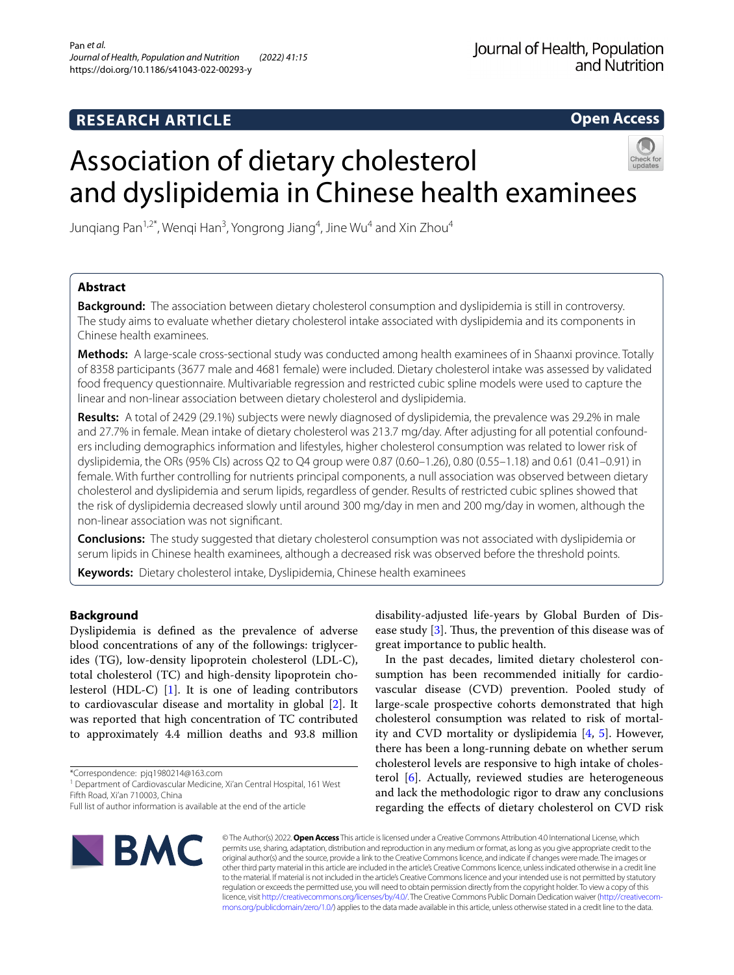# **RESEARCH ARTICLE**

**Open Access**

# Association of dietary cholesterol and dyslipidemia in Chinese health examinees



# **Abstract**

**Background:** The association between dietary cholesterol consumption and dyslipidemia is still in controversy. The study aims to evaluate whether dietary cholesterol intake associated with dyslipidemia and its components in Chinese health examinees.

**Methods:** A large-scale cross-sectional study was conducted among health examinees of in Shaanxi province. Totally of 8358 participants (3677 male and 4681 female) were included. Dietary cholesterol intake was assessed by validated food frequency questionnaire. Multivariable regression and restricted cubic spline models were used to capture the linear and non-linear association between dietary cholesterol and dyslipidemia.

**Results:** A total of 2429 (29.1%) subjects were newly diagnosed of dyslipidemia, the prevalence was 29.2% in male and 27.7% in female. Mean intake of dietary cholesterol was 213.7 mg/day. After adjusting for all potential confounders including demographics information and lifestyles, higher cholesterol consumption was related to lower risk of dyslipidemia, the ORs (95% CIs) across Q2 to Q4 group were 0.87 (0.60–1.26), 0.80 (0.55–1.18) and 0.61 (0.41–0.91) in female. With further controlling for nutrients principal components, a null association was observed between dietary cholesterol and dyslipidemia and serum lipids, regardless of gender. Results of restricted cubic splines showed that the risk of dyslipidemia decreased slowly until around 300 mg/day in men and 200 mg/day in women, although the non-linear association was not signifcant.

**Conclusions:** The study suggested that dietary cholesterol consumption was not associated with dyslipidemia or serum lipids in Chinese health examinees, although a decreased risk was observed before the threshold points.

**Keywords:** Dietary cholesterol intake, Dyslipidemia, Chinese health examinees

# **Background**

Dyslipidemia is defned as the prevalence of adverse blood concentrations of any of the followings: triglycerides (TG), low-density lipoprotein cholesterol (LDL-C), total cholesterol (TC) and high-density lipoprotein cholesterol (HDL-C) [\[1](#page-6-0)]. It is one of leading contributors to cardiovascular disease and mortality in global [\[2\]](#page-6-1). It was reported that high concentration of TC contributed to approximately 4.4 million deaths and 93.8 million

\*Correspondence: pjq1980214@163.com

<sup>1</sup> Department of Cardiovascular Medicine, Xi'an Central Hospital, 161 West Fifth Road, Xi'an 710003, China

disability-adjusted life-years by Global Burden of Disease study  $[3]$  $[3]$ . Thus, the prevention of this disease was of great importance to public health.

In the past decades, limited dietary cholesterol consumption has been recommended initially for cardiovascular disease (CVD) prevention. Pooled study of large-scale prospective cohorts demonstrated that high cholesterol consumption was related to risk of mortality and CVD mortality or dyslipidemia [\[4](#page-6-3), [5\]](#page-6-4). However, there has been a long-running debate on whether serum cholesterol levels are responsive to high intake of cholesterol [[6](#page-6-5)]. Actually, reviewed studies are heterogeneous and lack the methodologic rigor to draw any conclusions regarding the efects of dietary cholesterol on CVD risk



© The Author(s) 2022. **Open Access** This article is licensed under a Creative Commons Attribution 4.0 International License, which permits use, sharing, adaptation, distribution and reproduction in any medium or format, as long as you give appropriate credit to the original author(s) and the source, provide a link to the Creative Commons licence, and indicate if changes were made. The images or other third party material in this article are included in the article's Creative Commons licence, unless indicated otherwise in a credit line to the material. If material is not included in the article's Creative Commons licence and your intended use is not permitted by statutory regulation or exceeds the permitted use, you will need to obtain permission directly from the copyright holder. To view a copy of this licence, visit [http://creativecommons.org/licenses/by/4.0/.](http://creativecommons.org/licenses/by/4.0/) The Creative Commons Public Domain Dedication waiver ([http://creativecom](http://creativecommons.org/publicdomain/zero/1.0/)[mons.org/publicdomain/zero/1.0/\)](http://creativecommons.org/publicdomain/zero/1.0/) applies to the data made available in this article, unless otherwise stated in a credit line to the data.

Full list of author information is available at the end of the article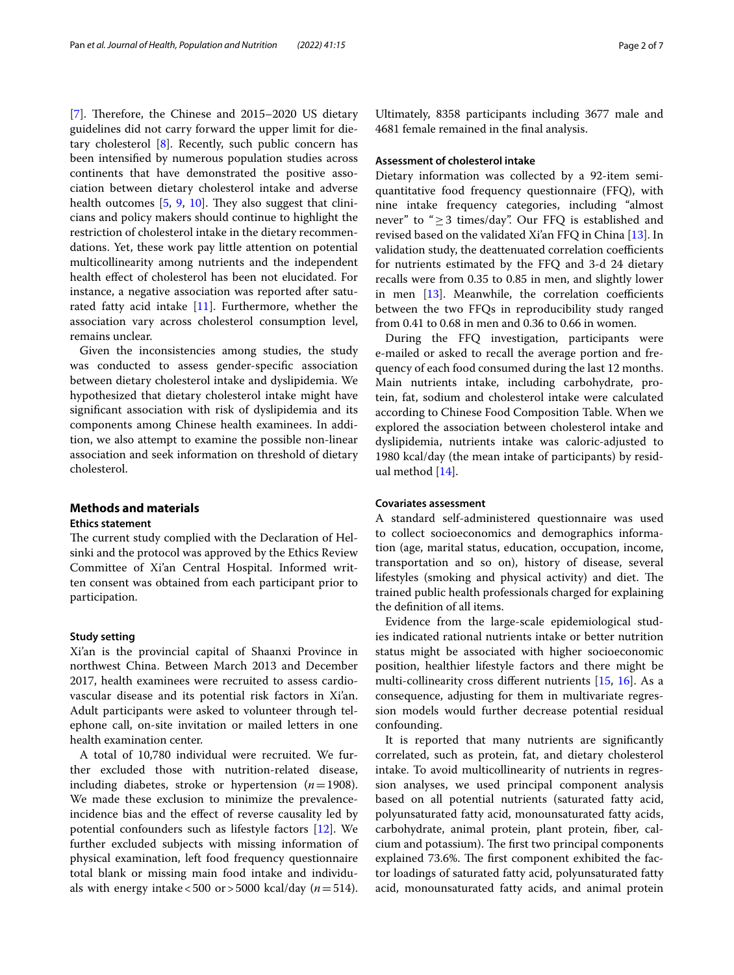[[7\]](#page-6-6). Therefore, the Chinese and 2015–2020 US dietary guidelines did not carry forward the upper limit for dietary cholesterol [[8\]](#page-6-7). Recently, such public concern has been intensifed by numerous population studies across continents that have demonstrated the positive association between dietary cholesterol intake and adverse health outcomes  $[5, 9, 10]$  $[5, 9, 10]$  $[5, 9, 10]$  $[5, 9, 10]$  $[5, 9, 10]$ . They also suggest that clinicians and policy makers should continue to highlight the restriction of cholesterol intake in the dietary recommendations. Yet, these work pay little attention on potential multicollinearity among nutrients and the independent health efect of cholesterol has been not elucidated. For instance, a negative association was reported after saturated fatty acid intake  $[11]$  $[11]$ . Furthermore, whether the association vary across cholesterol consumption level, remains unclear.

Given the inconsistencies among studies, the study was conducted to assess gender-specifc association between dietary cholesterol intake and dyslipidemia. We hypothesized that dietary cholesterol intake might have signifcant association with risk of dyslipidemia and its components among Chinese health examinees. In addition, we also attempt to examine the possible non-linear association and seek information on threshold of dietary cholesterol.

#### **Methods and materials**

## **Ethics statement**

The current study complied with the Declaration of Helsinki and the protocol was approved by the Ethics Review Committee of Xi'an Central Hospital. Informed written consent was obtained from each participant prior to participation.

## **Study setting**

Xi'an is the provincial capital of Shaanxi Province in northwest China. Between March 2013 and December 2017, health examinees were recruited to assess cardiovascular disease and its potential risk factors in Xi'an. Adult participants were asked to volunteer through telephone call, on-site invitation or mailed letters in one health examination center.

A total of 10,780 individual were recruited. We further excluded those with nutrition-related disease, including diabetes, stroke or hypertension  $(n=1908)$ . We made these exclusion to minimize the prevalenceincidence bias and the efect of reverse causality led by potential confounders such as lifestyle factors [[12](#page-6-11)]. We further excluded subjects with missing information of physical examination, left food frequency questionnaire total blank or missing main food intake and individuals with energy intake <500 or > 5000 kcal/day ( $n = 514$ ). Ultimately, 8358 participants including 3677 male and 4681 female remained in the fnal analysis.

# **Assessment of cholesterol intake**

Dietary information was collected by a 92-item semiquantitative food frequency questionnaire (FFQ), with nine intake frequency categories, including "almost never" to "≥3 times/day". Our FFQ is established and revised based on the validated Xi'an FFQ in China [\[13](#page-6-12)]. In validation study, the deattenuated correlation coefficients for nutrients estimated by the FFQ and 3-d 24 dietary recalls were from 0.35 to 0.85 in men, and slightly lower in men  $[13]$  $[13]$  $[13]$ . Meanwhile, the correlation coefficients between the two FFQs in reproducibility study ranged from 0.41 to 0.68 in men and 0.36 to 0.66 in women.

During the FFQ investigation, participants were e-mailed or asked to recall the average portion and frequency of each food consumed during the last 12 months. Main nutrients intake, including carbohydrate, protein, fat, sodium and cholesterol intake were calculated according to Chinese Food Composition Table. When we explored the association between cholesterol intake and dyslipidemia, nutrients intake was caloric-adjusted to 1980 kcal/day (the mean intake of participants) by residual method [[14\]](#page-6-13).

# **Covariates assessment**

A standard self-administered questionnaire was used to collect socioeconomics and demographics information (age, marital status, education, occupation, income, transportation and so on), history of disease, several lifestyles (smoking and physical activity) and diet. The trained public health professionals charged for explaining the defnition of all items.

Evidence from the large-scale epidemiological studies indicated rational nutrients intake or better nutrition status might be associated with higher socioeconomic position, healthier lifestyle factors and there might be multi-collinearity cross diferent nutrients [[15,](#page-6-14) [16](#page-6-15)]. As a consequence, adjusting for them in multivariate regression models would further decrease potential residual confounding.

It is reported that many nutrients are signifcantly correlated, such as protein, fat, and dietary cholesterol intake. To avoid multicollinearity of nutrients in regression analyses, we used principal component analysis based on all potential nutrients (saturated fatty acid, polyunsaturated fatty acid, monounsaturated fatty acids, carbohydrate, animal protein, plant protein, fber, calcium and potassium). The first two principal components explained 73.6%. The first component exhibited the factor loadings of saturated fatty acid, polyunsaturated fatty acid, monounsaturated fatty acids, and animal protein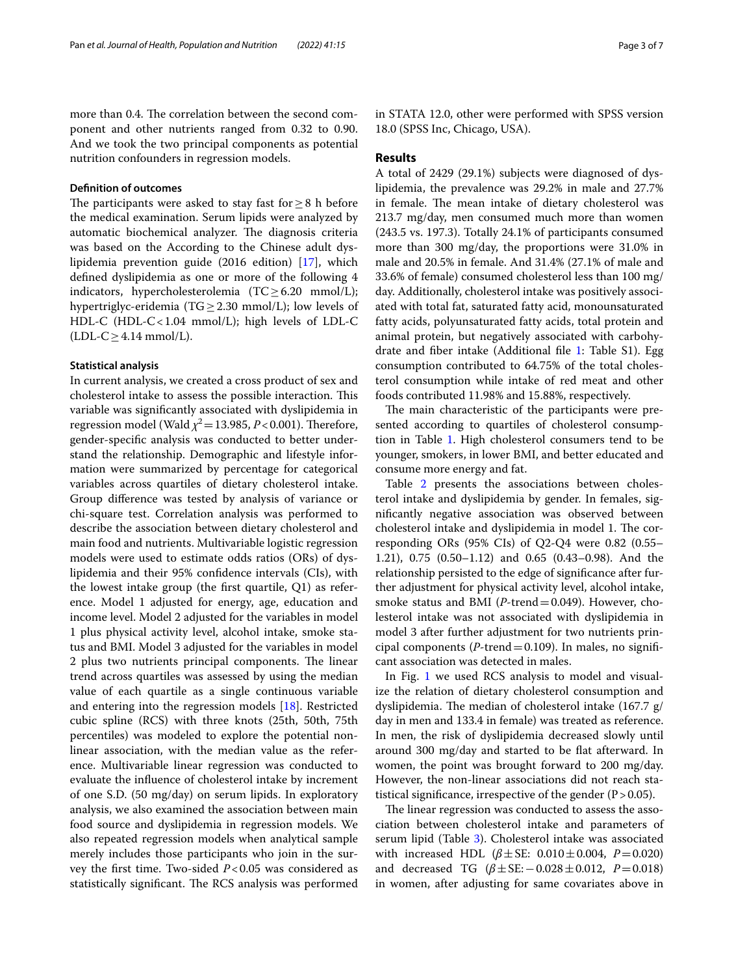more than 0.4. The correlation between the second component and other nutrients ranged from 0.32 to 0.90. And we took the two principal components as potential nutrition confounders in regression models.

#### **Defnition of outcomes**

The participants were asked to stay fast for  $\geq 8$  h before the medical examination. Serum lipids were analyzed by automatic biochemical analyzer. The diagnosis criteria was based on the According to the Chinese adult dyslipidemia prevention guide (2016 edition) [\[17](#page-6-16)], which defned dyslipidemia as one or more of the following 4 indicators, hypercholesterolemia (TC $\geq$ 6.20 mmol/L); hypertriglyc-eridemia (TG $\geq$ 2.30 mmol/L); low levels of HDL-C (HDL-C<1.04 mmol/L); high levels of LDL-C  $(LDL-C \geq 4.14$  mmol/L).

#### **Statistical analysis**

In current analysis, we created a cross product of sex and cholesterol intake to assess the possible interaction. This variable was signifcantly associated with dyslipidemia in regression model (Wald  $\chi^2$  = 13.985, *P* < 0.001). Therefore, gender-specifc analysis was conducted to better understand the relationship. Demographic and lifestyle information were summarized by percentage for categorical variables across quartiles of dietary cholesterol intake. Group diference was tested by analysis of variance or chi-square test. Correlation analysis was performed to describe the association between dietary cholesterol and main food and nutrients. Multivariable logistic regression models were used to estimate odds ratios (ORs) of dyslipidemia and their 95% confdence intervals (CIs), with the lowest intake group (the frst quartile, Q1) as reference. Model 1 adjusted for energy, age, education and income level. Model 2 adjusted for the variables in model 1 plus physical activity level, alcohol intake, smoke status and BMI. Model 3 adjusted for the variables in model 2 plus two nutrients principal components. The linear trend across quartiles was assessed by using the median value of each quartile as a single continuous variable and entering into the regression models [\[18](#page-6-17)]. Restricted cubic spline (RCS) with three knots (25th, 50th, 75th percentiles) was modeled to explore the potential nonlinear association, with the median value as the reference. Multivariable linear regression was conducted to evaluate the infuence of cholesterol intake by increment of one S.D. (50 mg/day) on serum lipids. In exploratory analysis, we also examined the association between main food source and dyslipidemia in regression models. We also repeated regression models when analytical sample merely includes those participants who join in the survey the frst time. Two-sided *P*<0.05 was considered as statistically significant. The RCS analysis was performed in STATA 12.0, other were performed with SPSS version 18.0 (SPSS Inc, Chicago, USA).

#### **Results**

A total of 2429 (29.1%) subjects were diagnosed of dyslipidemia, the prevalence was 29.2% in male and 27.7% in female. The mean intake of dietary cholesterol was 213.7 mg/day, men consumed much more than women (243.5 vs. 197.3). Totally 24.1% of participants consumed more than 300 mg/day, the proportions were 31.0% in male and 20.5% in female. And 31.4% (27.1% of male and 33.6% of female) consumed cholesterol less than 100 mg/ day. Additionally, cholesterol intake was positively associated with total fat, saturated fatty acid, monounsaturated fatty acids, polyunsaturated fatty acids, total protein and animal protein, but negatively associated with carbohydrate and fber intake (Additional fle [1](#page-5-0): Table S1). Egg consumption contributed to 64.75% of the total cholesterol consumption while intake of red meat and other foods contributed 11.98% and 15.88%, respectively.

The main characteristic of the participants were presented according to quartiles of cholesterol consumption in Table [1.](#page-3-0) High cholesterol consumers tend to be younger, smokers, in lower BMI, and better educated and consume more energy and fat.

Table [2](#page-3-1) presents the associations between cholesterol intake and dyslipidemia by gender. In females, signifcantly negative association was observed between cholesterol intake and dyslipidemia in model 1. The corresponding ORs (95% CIs) of Q2-Q4 were 0.82 (0.55– 1.21), 0.75 (0.50–1.12) and 0.65 (0.43–0.98). And the relationship persisted to the edge of signifcance after further adjustment for physical activity level, alcohol intake, smoke status and BMI (*P*-trend=0.049). However, cholesterol intake was not associated with dyslipidemia in model 3 after further adjustment for two nutrients principal components (*P*-trend=0.109). In males, no signifcant association was detected in males.

In Fig. [1](#page-4-0) we used RCS analysis to model and visualize the relation of dietary cholesterol consumption and dyslipidemia. The median of cholesterol intake  $(167.7 \text{ g})$ day in men and 133.4 in female) was treated as reference. In men, the risk of dyslipidemia decreased slowly until around 300 mg/day and started to be fat afterward. In women, the point was brought forward to 200 mg/day. However, the non-linear associations did not reach statistical significance, irrespective of the gender  $(P > 0.05)$ .

The linear regression was conducted to assess the association between cholesterol intake and parameters of serum lipid (Table [3\)](#page-4-1). Cholesterol intake was associated with increased HDL (*β*±SE: 0.010±0.004, *P*=0.020) and decreased TG (*β*±SE:−0.028±0.012, *P*=0.018) in women, after adjusting for same covariates above in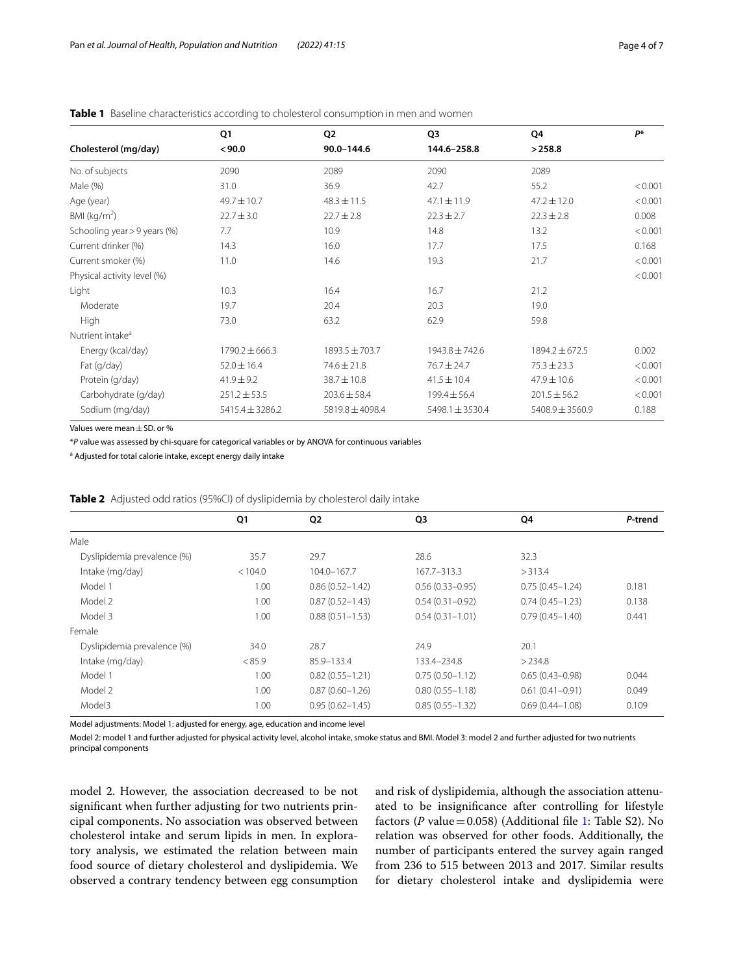|                              | Q1                  | Q <sub>2</sub>   | Q3                  | Q4                  | P*      |
|------------------------------|---------------------|------------------|---------------------|---------------------|---------|
| Cholesterol (mg/day)         | < 90.0              | 90.0-144.6       | 144.6-258.8         | >258.8              |         |
| No. of subjects              | 2090                | 2089             | 2090                | 2089                |         |
| Male (%)                     | 31.0                | 36.9             | 42.7                | 55.2                | < 0.001 |
| Age (year)                   | 49.7±10.7           | $48.3 \pm 11.5$  | $47.1 \pm 11.9$     | $47.2 \pm 12.0$     | < 0.001 |
| BMI ( $kg/m2$ )              | $22.7 \pm 3.0$      | $22.7 \pm 2.8$   | $22.3 \pm 2.7$      | $22.3 \pm 2.8$      | 0.008   |
| Schooling year > 9 years (%) | 7.7                 | 10.9             | 14.8                | 13.2                | < 0.001 |
| Current drinker (%)          | 14.3                | 16.0             | 17.7                | 17.5                | 0.168   |
| Current smoker (%)           | 11.0                | 14.6             | 19.3                | 21.7                | < 0.001 |
| Physical activity level (%)  |                     |                  |                     |                     | < 0.001 |
| Light                        | 10.3                | 16.4             | 16.7                | 21.2                |         |
| Moderate                     | 19.7                | 20.4             | 20.3                | 19.0                |         |
| High                         | 73.0                | 63.2             | 62.9                | 59.8                |         |
| Nutrient intake <sup>a</sup> |                     |                  |                     |                     |         |
| Energy (kcal/day)            | $1790.2 \pm 666.3$  | 1893.5 ± 703.7   | 1943.8 ± 742.6      | $1894.2 \pm 672.5$  | 0.002   |
| Fat (g/day)                  | $52.0 \pm 16.4$     | $74.6 \pm 21.8$  | $76.7 \pm 24.7$     | $75.3 \pm 23.3$     | < 0.001 |
| Protein (g/day)              | $41.9 \pm 9.2$      | $38.7 \pm 10.8$  | $41.5 \pm 10.4$     | $47.9 \pm 10.6$     | < 0.001 |
| Carbohydrate (g/day)         | $251.2 \pm 53.5$    | $203.6 \pm 58.4$ | $199.4 \pm 56.4$    | $201.5 \pm 56.2$    | < 0.001 |
| Sodium (mg/day)              | $5415.4 \pm 3286.2$ | 5819.8 ± 4098.4  | $5498.1 \pm 3530.4$ | $5408.9 \pm 3560.9$ | 0.188   |

# <span id="page-3-0"></span>**Table 1** Baseline characteristics according to cholesterol consumption in men and women

Values were mean±SD. or %

\**P* value was assessed by chi-square for categorical variables or by ANOVA for continuous variables

<sup>a</sup> Adjusted for total calorie intake, except energy daily intake

|                             | Q1      | Q <sub>2</sub>      | Q <sub>3</sub>      | Q4                  | P-trend |
|-----------------------------|---------|---------------------|---------------------|---------------------|---------|
| Male                        |         |                     |                     |                     |         |
| Dyslipidemia prevalence (%) | 35.7    | 29.7                | 28.6                | 32.3                |         |
| Intake (mg/day)             | < 104.0 | 104.0-167.7         | 167.7-313.3         | >313.4              |         |
| Model 1                     | 1.00    | $0.86(0.52 - 1.42)$ | $0.56(0.33 - 0.95)$ | $0.75(0.45 - 1.24)$ | 0.181   |
| Model 2                     | 1.00    | $0.87(0.52 - 1.43)$ | $0.54(0.31 - 0.92)$ | $0.74(0.45 - 1.23)$ | 0.138   |
| Model 3                     | 1.00    | $0.88(0.51 - 1.53)$ | $0.54(0.31 - 1.01)$ | $0.79(0.45 - 1.40)$ | 0.441   |
| Female                      |         |                     |                     |                     |         |
| Dyslipidemia prevalence (%) | 34.0    | 28.7                | 24.9                | 20.1                |         |
| Intake (mg/day)             | < 85.9  | 85.9-133.4          | 133.4-234.8         | >234.8              |         |
| Model 1                     | 1.00    | $0.82(0.55 - 1.21)$ | $0.75(0.50 - 1.12)$ | $0.65(0.43 - 0.98)$ | 0.044   |
| Model 2                     | 1.00    | $0.87(0.60 - 1.26)$ | $0.80(0.55 - 1.18)$ | $0.61(0.41 - 0.91)$ | 0.049   |
| Model3                      | 1.00    | $0.95(0.62 - 1.45)$ | $0.85(0.55 - 1.32)$ | $0.69(0.44 - 1.08)$ | 0.109   |

<span id="page-3-1"></span>**Table 2** Adjusted odd ratios (95%CI) of dyslipidemia by cholesterol daily intake

Model adjustments: Model 1: adjusted for energy, age, education and income level

Model 2: model 1 and further adjusted for physical activity level, alcohol intake, smoke status and BMI. Model 3: model 2 and further adjusted for two nutrients principal components

model 2. However, the association decreased to be not signifcant when further adjusting for two nutrients principal components. No association was observed between cholesterol intake and serum lipids in men. In exploratory analysis, we estimated the relation between main food source of dietary cholesterol and dyslipidemia. We observed a contrary tendency between egg consumption and risk of dyslipidemia, although the association attenuated to be insignifcance after controlling for lifestyle factors (*P* value  $=$  0.058) (Additional file [1](#page-5-0): Table S2). No relation was observed for other foods. Additionally, the number of participants entered the survey again ranged from 236 to 515 between 2013 and 2017. Similar results for dietary cholesterol intake and dyslipidemia were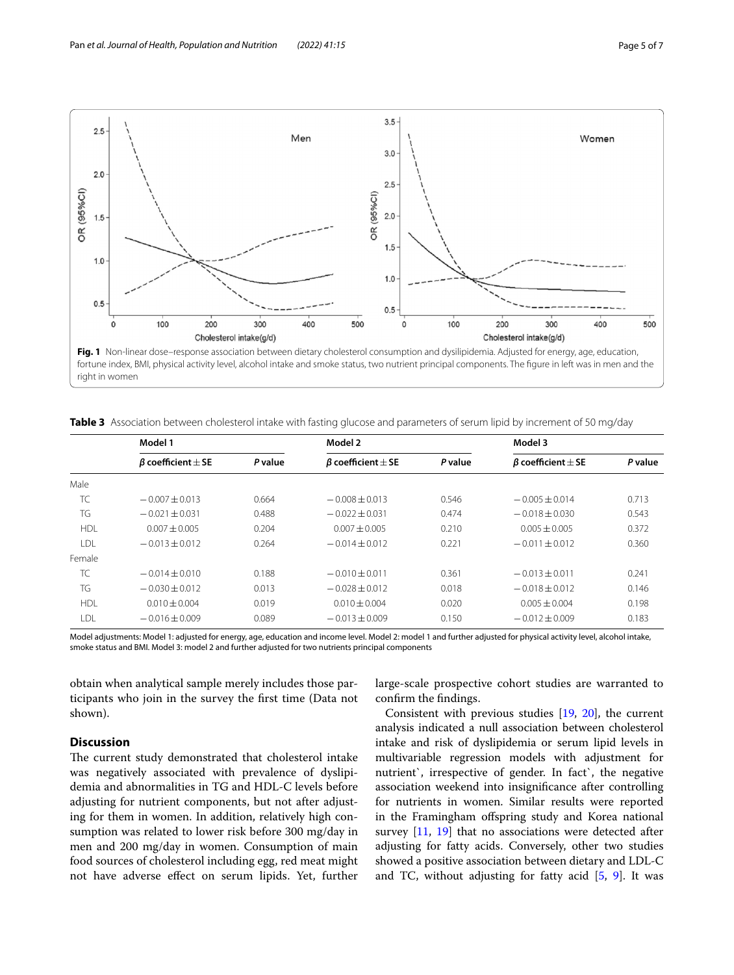

<span id="page-4-1"></span><span id="page-4-0"></span>**Table 3** Association between cholesterol intake with fasting glucose and parameters of serum lipid by increment of 50 mg/day

|            | Model 1                      |         | Model 2                      |         | Model 3                      |         |
|------------|------------------------------|---------|------------------------------|---------|------------------------------|---------|
|            | $\beta$ coefficient $\pm$ SE | P value | $\beta$ coefficient $\pm$ SE | P value | $\beta$ coefficient $\pm$ SE | P value |
| Male       |                              |         |                              |         |                              |         |
| TC         | $-0.007 + 0.013$             | 0.664   | $-0.008 + 0.013$             | 0.546   | $-0.005 + 0.014$             | 0.713   |
| TG         | $-0.021 + 0.031$             | 0.488   | $-0.022 + 0.031$             | 0.474   | $-0.018 + 0.030$             | 0.543   |
| <b>HDI</b> | $0.007 + 0.005$              | 0.204   | $0.007 + 0.005$              | 0.210   | $0.005 + 0.005$              | 0.372   |
| I DI.      | $-0.013 + 0.012$             | 0.264   | $-0.014 + 0.012$             | 0.221   | $-0.011 + 0.012$             | 0.360   |
| Female     |                              |         |                              |         |                              |         |
| TC         | $-0.014 + 0.010$             | 0.188   | $-0.010 + 0.011$             | 0.361   | $-0.013 \pm 0.011$           | 0.241   |
| TG         | $-0.030 + 0.012$             | 0.013   | $-0.028 + 0.012$             | 0.018   | $-0.018 + 0.012$             | 0.146   |
| <b>HDL</b> | $0.010 \pm 0.004$            | 0.019   | $0.010 \pm 0.004$            | 0.020   | $0.005 + 0.004$              | 0.198   |
| LDL        | $-0.016 \pm 0.009$           | 0.089   | $-0.013 \pm 0.009$           | 0.150   | $-0.012 \pm 0.009$           | 0.183   |

Model adjustments: Model 1: adjusted for energy, age, education and income level. Model 2: model 1 and further adjusted for physical activity level, alcohol intake, smoke status and BMI. Model 3: model 2 and further adjusted for two nutrients principal components

obtain when analytical sample merely includes those participants who join in the survey the frst time (Data not shown).

# **Discussion**

The current study demonstrated that cholesterol intake was negatively associated with prevalence of dyslipidemia and abnormalities in TG and HDL-C levels before adjusting for nutrient components, but not after adjusting for them in women. In addition, relatively high consumption was related to lower risk before 300 mg/day in men and 200 mg/day in women. Consumption of main food sources of cholesterol including egg, red meat might not have adverse efect on serum lipids. Yet, further large-scale prospective cohort studies are warranted to confrm the fndings.

Consistent with previous studies [\[19](#page-6-18), [20](#page-6-19)], the current analysis indicated a null association between cholesterol intake and risk of dyslipidemia or serum lipid levels in multivariable regression models with adjustment for nutrient`, irrespective of gender. In fact`, the negative association weekend into insignifcance after controlling for nutrients in women. Similar results were reported in the Framingham ofspring study and Korea national survey [\[11](#page-6-10), [19\]](#page-6-18) that no associations were detected after adjusting for fatty acids. Conversely, other two studies showed a positive association between dietary and LDL-C and TC, without adjusting for fatty acid  $[5, 9]$  $[5, 9]$  $[5, 9]$  $[5, 9]$  $[5, 9]$ . It was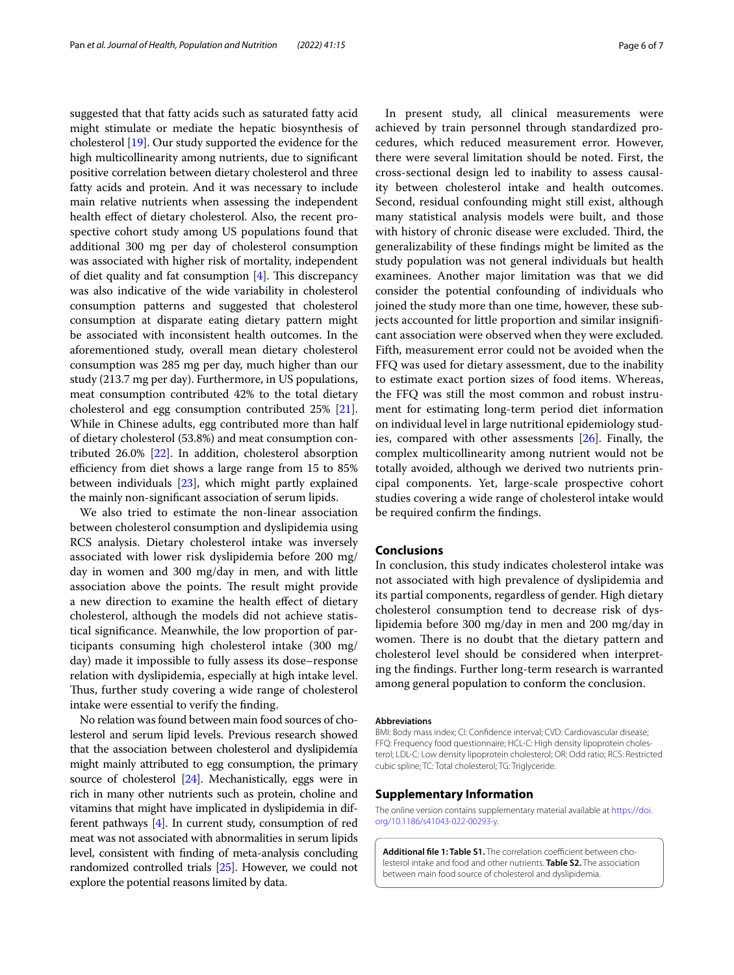suggested that that fatty acids such as saturated fatty acid might stimulate or mediate the hepatic biosynthesis of cholesterol [\[19](#page-6-18)]. Our study supported the evidence for the high multicollinearity among nutrients, due to signifcant positive correlation between dietary cholesterol and three fatty acids and protein. And it was necessary to include main relative nutrients when assessing the independent health effect of dietary cholesterol. Also, the recent prospective cohort study among US populations found that additional 300 mg per day of cholesterol consumption was associated with higher risk of mortality, independent of diet quality and fat consumption  $[4]$  $[4]$ . This discrepancy was also indicative of the wide variability in cholesterol consumption patterns and suggested that cholesterol consumption at disparate eating dietary pattern might be associated with inconsistent health outcomes. In the aforementioned study, overall mean dietary cholesterol consumption was 285 mg per day, much higher than our study (213.7 mg per day). Furthermore, in US populations, meat consumption contributed 42% to the total dietary cholesterol and egg consumption contributed 25% [\[21](#page-6-20)]. While in Chinese adults, egg contributed more than half of dietary cholesterol (53.8%) and meat consumption contributed 26.0% [\[22\]](#page-6-21). In addition, cholesterol absorption efficiency from diet shows a large range from 15 to 85% between individuals [\[23\]](#page-6-22), which might partly explained the mainly non-signifcant association of serum lipids.

We also tried to estimate the non-linear association between cholesterol consumption and dyslipidemia using RCS analysis. Dietary cholesterol intake was inversely associated with lower risk dyslipidemia before 200 mg/ day in women and 300 mg/day in men, and with little association above the points. The result might provide a new direction to examine the health efect of dietary cholesterol, although the models did not achieve statistical signifcance. Meanwhile, the low proportion of participants consuming high cholesterol intake (300 mg/ day) made it impossible to fully assess its dose–response relation with dyslipidemia, especially at high intake level. Thus, further study covering a wide range of cholesterol intake were essential to verify the fnding.

No relation was found between main food sources of cholesterol and serum lipid levels. Previous research showed that the association between cholesterol and dyslipidemia might mainly attributed to egg consumption, the primary source of cholesterol [\[24\]](#page-6-23). Mechanistically, eggs were in rich in many other nutrients such as protein, choline and vitamins that might have implicated in dyslipidemia in different pathways [\[4](#page-6-3)]. In current study, consumption of red meat was not associated with abnormalities in serum lipids level, consistent with fnding of meta-analysis concluding randomized controlled trials [\[25\]](#page-6-24). However, we could not explore the potential reasons limited by data.

In present study, all clinical measurements were achieved by train personnel through standardized procedures, which reduced measurement error. However, there were several limitation should be noted. First, the cross-sectional design led to inability to assess causality between cholesterol intake and health outcomes. Second, residual confounding might still exist, although many statistical analysis models were built, and those with history of chronic disease were excluded. Third, the generalizability of these fndings might be limited as the study population was not general individuals but health examinees. Another major limitation was that we did consider the potential confounding of individuals who joined the study more than one time, however, these subjects accounted for little proportion and similar insignifcant association were observed when they were excluded. Fifth, measurement error could not be avoided when the FFQ was used for dietary assessment, due to the inability to estimate exact portion sizes of food items. Whereas, the FFQ was still the most common and robust instrument for estimating long-term period diet information on individual level in large nutritional epidemiology studies, compared with other assessments [\[26\]](#page-6-25). Finally, the complex multicollinearity among nutrient would not be totally avoided, although we derived two nutrients principal components. Yet, large-scale prospective cohort studies covering a wide range of cholesterol intake would be required confrm the fndings.

# **Conclusions**

In conclusion, this study indicates cholesterol intake was not associated with high prevalence of dyslipidemia and its partial components, regardless of gender. High dietary cholesterol consumption tend to decrease risk of dyslipidemia before 300 mg/day in men and 200 mg/day in women. There is no doubt that the dietary pattern and cholesterol level should be considered when interpreting the fndings. Further long-term research is warranted among general population to conform the conclusion.

#### **Abbreviations**

BMI: Body mass index; CI: Confdence interval; CVD: Cardiovascular disease; FFQ: Frequency food questionnaire; HCL-C: High density lipoprotein cholesterol; LDL-C: Low density lipoprotein cholesterol; OR: Odd ratio; RCS: Restricted cubic spline; TC: Total cholesterol; TG: Triglyceride.

#### **Supplementary Information**

The online version contains supplementary material available at [https://doi.](https://doi.org/10.1186/s41043-022-00293-y) [org/10.1186/s41043-022-00293-y.](https://doi.org/10.1186/s41043-022-00293-y)

<span id="page-5-0"></span>Additional file 1: Table S1. The correlation coefficient between cholesterol intake and food and other nutrients. **Table S2.** The association between main food source of cholesterol and dyslipidemia.